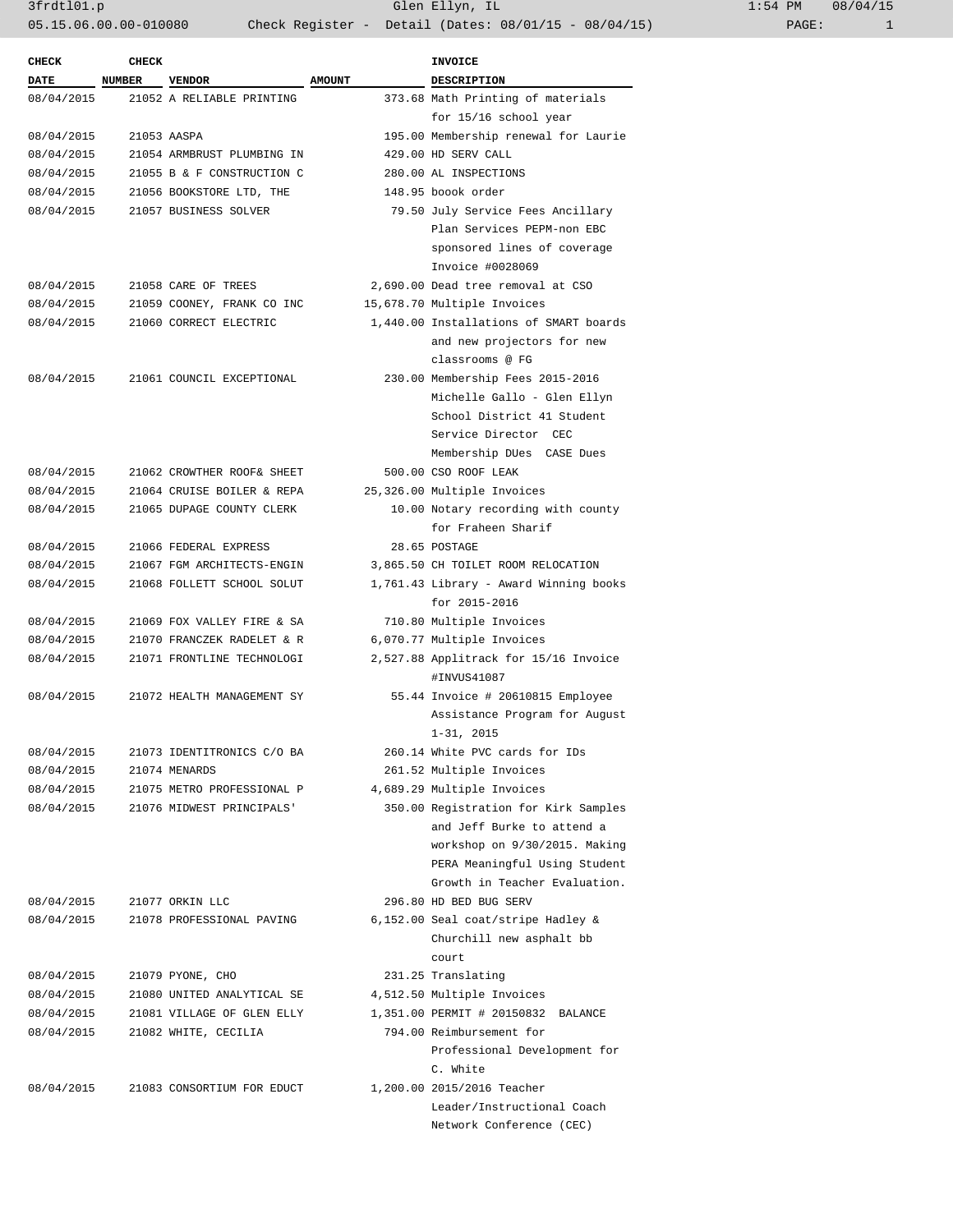3frdtl01.p Glen Ellyn, IL 1:54 PM 08/04/15 05.15.06.00.00-010080 Check Register - Detail (Dates: 08/01/15 - 08/04/15)

| <b>CHECK</b> | <b>CHECK</b> |                            |               | <b>INVOICE</b>                         |  |
|--------------|--------------|----------------------------|---------------|----------------------------------------|--|
| <b>DATE</b>  | NUMBER       | VENDOR                     | <b>AMOUNT</b> | <b>DESCRIPTION</b>                     |  |
| 08/04/2015   |              | 21052 A RELIABLE PRINTING  |               | 373.68 Math Printing of materials      |  |
|              |              |                            |               | for 15/16 school year                  |  |
| 08/04/2015   |              | 21053 AASPA                |               | 195.00 Membership renewal for Laurie   |  |
| 08/04/2015   |              | 21054 ARMBRUST PLUMBING IN |               | 429.00 HD SERV CALL                    |  |
| 08/04/2015   |              | 21055 B & F CONSTRUCTION C |               | 280.00 AL INSPECTIONS                  |  |
| 08/04/2015   |              | 21056 BOOKSTORE LTD, THE   |               | 148.95 boook order                     |  |
| 08/04/2015   |              | 21057 BUSINESS SOLVER      |               | 79.50 July Service Fees Ancillary      |  |
|              |              |                            |               | Plan Services PEPM-non EBC             |  |
|              |              |                            |               | sponsored lines of coverage            |  |
|              |              |                            |               | Invoice #0028069                       |  |
| 08/04/2015   |              | 21058 CARE OF TREES        |               | 2,690.00 Dead tree removal at CSO      |  |
| 08/04/2015   |              | 21059 COONEY, FRANK CO INC |               | 15,678.70 Multiple Invoices            |  |
| 08/04/2015   |              | 21060 CORRECT ELECTRIC     |               | 1,440.00 Installations of SMART boards |  |
|              |              |                            |               | and new projectors for new             |  |
|              |              |                            |               | classrooms @ FG                        |  |
| 08/04/2015   |              | 21061 COUNCIL EXCEPTIONAL  |               | 230.00 Membership Fees 2015-2016       |  |
|              |              |                            |               | Michelle Gallo - Glen Ellyn            |  |
|              |              |                            |               | School District 41 Student             |  |
|              |              |                            |               | Service Director CEC                   |  |
|              |              |                            |               | Membership DUes CASE Dues              |  |
| 08/04/2015   |              | 21062 CROWTHER ROOF& SHEET |               | 500.00 CSO ROOF LEAK                   |  |
| 08/04/2015   |              | 21064 CRUISE BOILER & REPA |               | 25,326.00 Multiple Invoices            |  |
| 08/04/2015   |              | 21065 DUPAGE COUNTY CLERK  |               | 10.00 Notary recording with county     |  |
|              |              |                            |               | for Fraheen Sharif                     |  |
| 08/04/2015   |              | 21066 FEDERAL EXPRESS      |               | 28.65 POSTAGE                          |  |
| 08/04/2015   |              | 21067 FGM ARCHITECTS-ENGIN |               | 3,865.50 CH TOILET ROOM RELOCATION     |  |
| 08/04/2015   |              | 21068 FOLLETT SCHOOL SOLUT |               | 1,761.43 Library - Award Winning books |  |
|              |              |                            |               | $for 2015 - 2016$                      |  |
| 08/04/2015   |              | 21069 FOX VALLEY FIRE & SA |               | 710.80 Multiple Invoices               |  |
| 08/04/2015   |              | 21070 FRANCZEK RADELET & R |               | 6,070.77 Multiple Invoices             |  |
| 08/04/2015   |              | 21071 FRONTLINE TECHNOLOGI |               | 2,527.88 Applitrack for 15/16 Invoice  |  |
|              |              |                            |               | #INVUS41087                            |  |
| 08/04/2015   |              | 21072 HEALTH MANAGEMENT SY |               | 55.44 Invoice # 20610815 Employee      |  |
|              |              |                            |               | Assistance Program for August          |  |
|              |              |                            |               | $1 - 31, 2015$                         |  |
| 08/04/2015   |              | 21073 IDENTITRONICS C/O BA |               | 260.14 White PVC cards for IDs         |  |
| 08/04/2015   |              | 21074 MENARDS              |               | 261.52 Multiple Invoices               |  |
| 08/04/2015   |              | 21075 METRO PROFESSIONAL P |               | 4,689.29 Multiple Invoices             |  |
| 08/04/2015   |              | 21076 MIDWEST PRINCIPALS'  |               | 350.00 Registration for Kirk Samples   |  |
|              |              |                            |               | and Jeff Burke to attend a             |  |
|              |              |                            |               | workshop on 9/30/2015. Making          |  |
|              |              |                            |               | PERA Meaningful Using Student          |  |
|              |              |                            |               | Growth in Teacher Evaluation.          |  |
| 08/04/2015   |              | 21077 ORKIN LLC            |               | 296.80 HD BED BUG SERV                 |  |
| 08/04/2015   |              | 21078 PROFESSIONAL PAVING  |               | 6,152.00 Seal coat/stripe Hadley &     |  |
|              |              |                            |               | Churchill new asphalt bb               |  |
|              |              |                            |               | court                                  |  |
| 08/04/2015   |              | 21079 PYONE, CHO           |               | 231.25 Translating                     |  |
| 08/04/2015   |              | 21080 UNITED ANALYTICAL SE |               | 4,512.50 Multiple Invoices             |  |
| 08/04/2015   |              | 21081 VILLAGE OF GLEN ELLY |               | 1,351.00 PERMIT # 20150832 BALANCE     |  |
| 08/04/2015   |              | 21082 WHITE, CECILIA       |               | 794.00 Reimbursement for               |  |
|              |              |                            |               | Professional Development for           |  |
|              |              |                            |               | C. White                               |  |
| 08/04/2015   |              | 21083 CONSORTIUM FOR EDUCT |               | 1,200.00 2015/2016 Teacher             |  |
|              |              |                            |               | Leader/Instructional Coach             |  |
|              |              |                            |               | Network Conference (CEC)               |  |
|              |              |                            |               |                                        |  |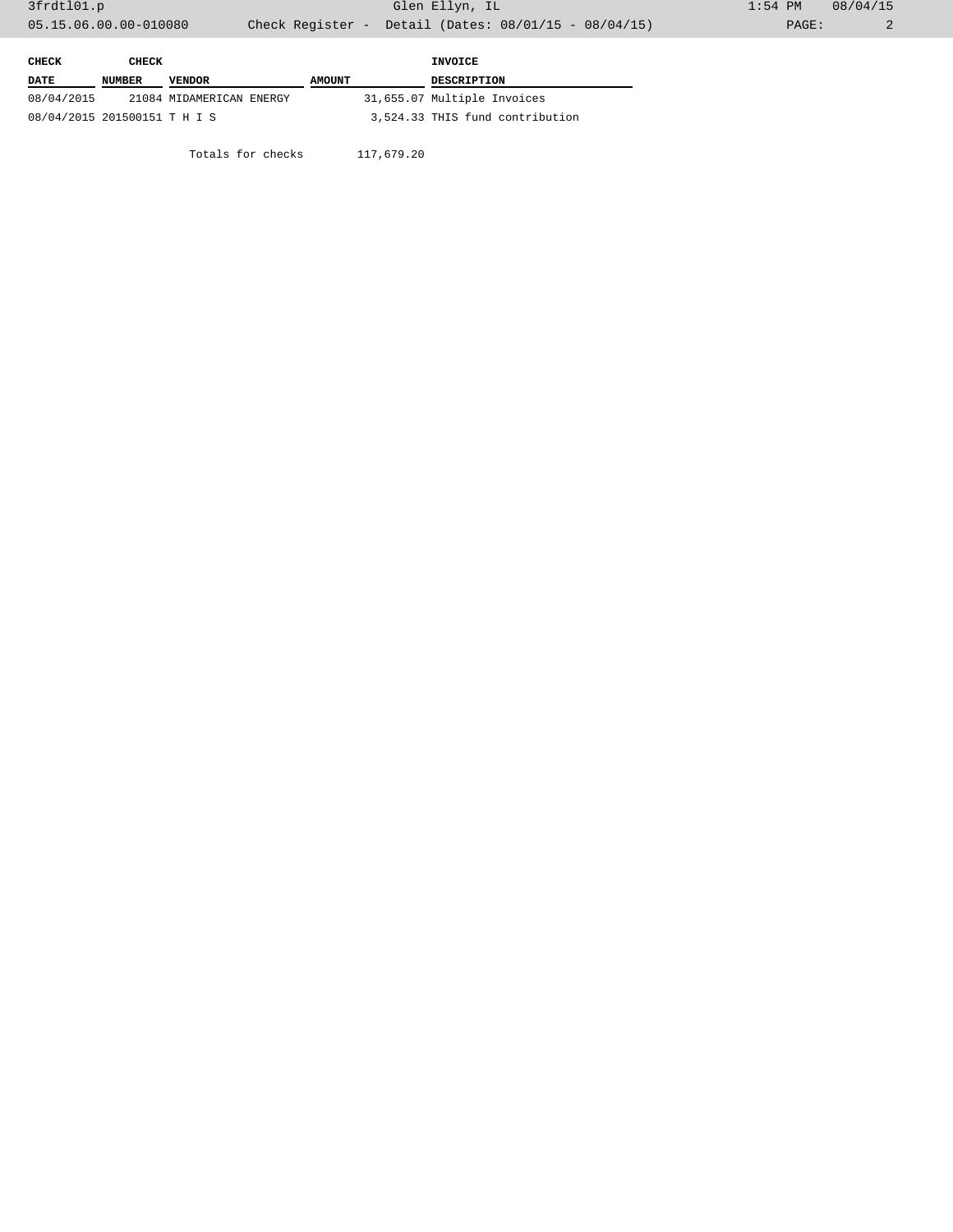| CHECK                        | CHECK  |                          |               |  | INVOICE                         |
|------------------------------|--------|--------------------------|---------------|--|---------------------------------|
| <b>DATE</b>                  | NUMBER | <b>VENDOR</b>            | <b>AMOUNT</b> |  | <b>DESCRIPTION</b>              |
| 08/04/2015                   |        | 21084 MIDAMERICAN ENERGY |               |  | 31,655.07 Multiple Invoices     |
| 08/04/2015 201500151 T H I S |        |                          |               |  | 3,524.33 THIS fund contribution |

Totals for checks 117,679.20